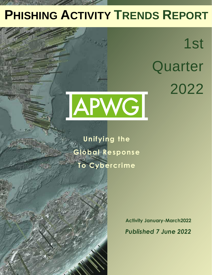# **PHISHING ACTIVITY TRENDS REPORT**

1st **Quarter** 2022



**Unifying the Global Response To Cybercrime**

Table of Contents of Contents of Contents of Contents of Contents of Contents of Contents of Contents of Contents of Contents of Contents of Contents of Contents of Contents of Contents of Contents of Contents of Contents

**Statistical Highlights for 2nd Quarter 2017 32 and 2nd Quarter 2017 32 and 2nd Quarter 2017 32 Phishing E-mail Phishing Site Trends 44 (Reports and Philadelphia) Brand-Domain Pairs Measurement Pairs Measurement Pairs Measurement Pairs Measurement Pairs Measurement Pairs Measurement Pairs Measurement Pairs Measurement Pairs Measurement Pairs Measurement Pairs Measurement Pairs Meas** 

**E-mail Philadelphia Attacks 6** Use of Domain Names for Phishing *1999* **Phishing and Identity Theft in Brazil 10-11 Most Targeted Industry Sectors 12 APWG Phishing Trends Report Contributors 13**

**Brands & Legitimate Entities Hijacked by** 

**Activity January-March2022** *Published 7 June 2022*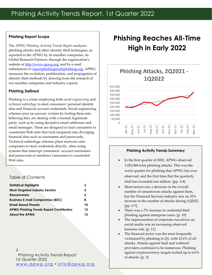#### **Phishing Report Scope**

The *APWG Phishing Activity Trends Report* analyzes phishing attacks and other identity theft techniques, as reported to the APWG by its member companies, its Global Research Partners, through the organization's website at [http://www.apwg.org,](http://www.apwg.org/) and by e-mail submissions to [reportphishing@antiphishing.org.](mailto:reportphishing@antiphishing.org) APWG measures the evolution, proliferation, and propagation of identity theft methods by drawing from the research of our member companies and industry experts.

#### **Phishing Defined**

Phishing is a crime employing both *social engineering* and *technical subterfuge* to steal consumers' personal identity data and financial account credentials. Social engineering schemes prey on unwary victims by fooling them into believing they are dealing with a trusted, legitimate party, such as by using deceptive email addresses and email messages. These are designed to lead consumers to counterfeit Web sites that trick recipients into divulging financial data such as usernames and passwords. Technical subterfuge schemes plant malware onto computers to steal credentials directly, often using systems that intercept consumers' account usernames and passwords or misdirect consumers to counterfeit Web sites.

### Table of Contents

| <b>Statistical Highlights</b>                   | 3  |
|-------------------------------------------------|----|
| <b>Most-Targeted Industry Sectors</b>           | 5  |
| Ransomware                                      | 6  |
| <b>Business E-mail Compromise (BEC)</b>         | 8  |
| <b>Email-Based Threats</b>                      | 10 |
| <b>APWG Phishing Trends Report Contributors</b> | 12 |
| <b>About the APWG</b>                           | 13 |
|                                                 |    |

#### 2

Phishing Activity Trends Report 1st Quarter 2022 <u>www.apwg.org • info@apwg.org</u>

# **Phishing Reaches All-Time High in Early 2022**



#### **Phishing Activity Trends Summary**

- In the first quarter of 2022, APWG observed 1,025,968 total phishing attacks. This was the worst quarter for phishing that APWG has ever observed, and the first time that the quarterly total has exceeded one million. [pp. 3-4]
- Most sectors saw a decrease in the overall number of ransomware attacks against them, but the Financial Services industry saw an 35% increase in the number of attacks during 1Q2022. [pp. 6-7]
- There was a 7% increase in credential theft phishing against enterprise users. [p. 10]
- The impersonation of corporate executives on social media was an increasing observed business risk. [p. 11]
- The financial sector was the most frequently victimized by phishing in Q1, with 23.6% of all attacks. Attacks against SaaS and webmail providers continued to be numerous. Phishing against cryptocurrency targets inched up to 6.6% of attacks. [p. 5]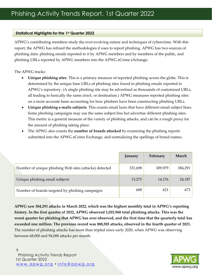#### **Statistical Highlights for the 1st Quarter 2022**

APWG's contributing members study the ever-evolving nature and techniques of cybercrime. With this report, the APWG has refined the methodologies it uses to report phishing. APWG has two sources of phishing data: phishing emails reported to it by APWG members and by members of the public, and phishing URLs reported by APWG members into the APWG eCrime eXchange.

The APWG tracks:

- **Unique phishing sites**. This is a primary measure of reported phishing across the globe. This is determined by the unique base URLs of phishing sites found in phishing emails reported to APWG's repository. (A single phishing site may be advertised as thousands of customized URLs, all leading to basically the same *attack*, or destination.) APWG measures reported phishing sites on a more accurate basis accounting for how phishers have been constructing phishing URLs.
- **Unique phishing e-mails subjects**. This counts email lures that have different email subject lines. Some phishing campaigns may use the same subject line but advertise different phishing sites. This metric is a general measure of the variety of phishing attacks, and can be a rough proxy for the amount of phishing taking place.
- The APWG also counts the **number of brands attacked** by examining the phishing reports submitted into the APWG eCrime Exchange, and normalizing the spellings of brand names.

|                                                        | January | February | March   |
|--------------------------------------------------------|---------|----------|---------|
| Number of unique phishing Web sites (attacks) detected | 331,698 | 309,979  | 384,291 |
| Unique phishing email subjects                         | 15,275  | 14,176   | 24,187  |
| Number of brands targeted by phishing campaigns        | 608     | 621      | 673     |

**APWG saw 384,291 attacks in March 2022, which was the highest monthly total in APWG's reporting history. In the first quarter of 2022, APWG observed 1,025,968 total phishing attacks. This was the worst quarter for phishing that APWG has ever observed, and the first time that the quarterly total has exceeded one million. The previous record was 888,585 attacks, observed in the fourth quarter of 2021.**  The number of phishing attacks has more than tripled since early 2020, when APWG was observing between 68,000 and 94,000 attacks per month.

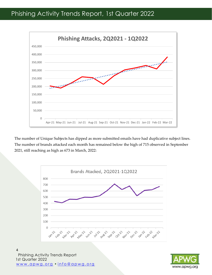## Phishing Activity Trends Report, 1st Quarter 2022



The number of Unique Subjects has dipped as more submitted emails have had duplicative subject lines. The number of brands attacked each month has remained below the high of 715 observed in September 2021, still reaching as high as 673 in March, 2022:



Phishing Activity Trends Report 1st Quarter 2022 www.apwg.org · info@apwg.org 4

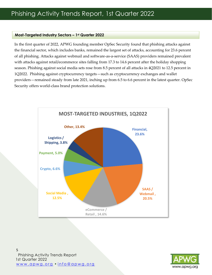#### **Most-Targeted Industry Sectors – 1st Quarter 2022**

In the first quarter of 2022, APWG founding member OpSec Security found that phishing attacks against the financial sector, which includes banks, remained the largest set of attacks, accounting for 23.6 percent of all phishing. Attacks against webmail and software-as-a-service (SAAS) providers remained prevalent with attacks against retail/ecommerce sites falling from 17.3 to 14.6 percent after the holiday shopping season. Phishing against social media sets rose from 8.5 percent of all attacks in 4Q2021 to 12.5 percent in 1Q2022. Phishing against cryptocurrency targets—such as cryptocurrency exchanges and wallet providers—remained steady from late 2021, inching up from 6.5 to 6.6 percent in the latest quarter. OpSec Security offers world-class brand protection solutions.



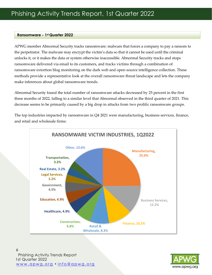#### **Ransomware - 1st Quarter 2022**

APWG member Abnormal Security tracks ransomware: malware that forces a company to pay a ransom to the perpetrator. The malware may encrypt the victim's data so that it cannot be used until the criminal unlocks it, or it makes the data or system otherwise inaccessible. Abnormal Security tracks and stops ransomware delivered via email to its customers, and tracks victims through a combination of ransomware extortion blog monitoring on the dark web and open-source intelligence collection. These methods provide a representative look at the overall ransomware threat landscape and lets the company make inferences about global ransomware trends.

Abnormal Security found the total number of ransomware attacks decreased by 25 percent in the first three months of 2022, falling to a similar level that Abnormal observed in the third quarter of 2021. This decrease seems to be primarily caused by a big drop in attacks from two prolific ransomware groups.

The top industries impacted by ransomware in Q4 2021 were manufacturing, business services, finance, and retail and wholesale firms:





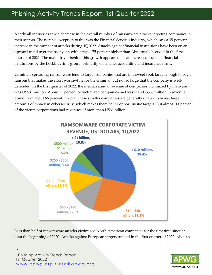Nearly all industries saw a decrease in the overall number of ransomware attacks targeting companies in their sectors. The notable exception to this was the Financial Services industry, which saw a 35 percent increase in the number of attacks during 1Q2022. Attacks against financial institutions have been on an upward trend over the past year, with attacks 75 percent higher than Abnormal observed in the first quarter of 2021. The main driver behind this growth appears to be an increased focus on financial institutions by the LockBit crime group, primarily on smaller accounting and insurance firms.

Criminals spreading ransomware tend to target companies that are in a sweet spot: large enough to pay a ransom that makes the effort worthwhile for the criminal, but not so large that the company is welldefended. In the first quarter of 2022, the median annual revenue of companies victimized by malware was US\$31 million. About 55 percent of victimized companies had less than US\$50 million in revenue, down from about 66 percent in 2021. These smaller companies are generally unable to invest large amounts of money in cybersecurity, which makes them better opportunistic targets. But almost 11 percent of the victim corporations had revenues of more than US\$1 billion:



Less than half of ransomware attacks victimized North American companies for the first time since at least the beginning of 2020. Attacks against European targets peaked in the first quarter of 2022. About a

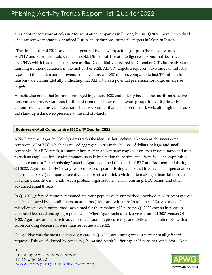quarter of ransomware attacks in 2021 went after companies in Europe, but in 1Q2022, more than a third of all ransomware attacks victimized European institutions, primarily targets in Western Europe.

"The first quarter of 2022 saw the emergence of two new impactful groups to the ransomware scene: ALPHV and Stormous" said Crane Hassold, Director of Threat Intelligence at Abnormal Security. "ALPHV, which has also been known as BlackCat, initially appeared in December 2021, but really started ramping up their operations in the first part of 2022. ALPHV targets a representative range of industry types, but the median annual revenue of its victims was \$57 million, compared to just \$31 million for ransomware victims globally, indicating that ALPHV has a potential preference for larger enterprise targets."

Hassold also noted that Stormous emerged in January 2022 and quickly became the fourth-most active ransomware group. Stormous is different from most other ransomware groups in that it primarily announces its victims via a Telegram chat group rather than a blog on the dark web, although the group did stand up a dark web presence at the end of March.

#### **Business e-Mail Compromise (BEC), 1st Quarter 2022**

APWG member Agari by HelpSystems tracks the identity theft technique known as "business e-mail compromise" or BEC, which has caused aggregate losses in the billions of dollars, at large and small companies. In a BEC attack, a scammer impersonates a company employee or other trusted party, and tries to trick an employee into sending money, usually by sending the victim email from fake or compromised email accounts (a "spear phishing" attack). Agari examined thousands of BEC attacks attempted during Q1 2022. Agari counts BEC as any response-based spear phishing attack that involves the impersonation of a trusted party (a company executive, vendor, etc.) to trick a victim into making a financial transaction or sending sensitive materials. Agari protects organizations against phishing, BEC scams, and other advanced email threats.

In Q1 2022, gift card requests remained the most popular cash-out method, involved in 63 percent of total attacks, followed by payroll diversion attempts (16%), and wire transfer schemes (9%). A variety of miscellaneous cash-out methods accounted for the remaining 12 percent. Q1 2022 saw an increase in advanced fee fraud and aging report scams. When Agari looked back a year, from Q1 2021 versus Q1 2022, Agari saw an increase in advanced fee fraud, cryptocurrency, and Zelle cash out attempts, with a corresponding decrease in wire transfer requests in 2022.

Google Play was the most requested gift card in Q1 2022, accounting for 47.4 percent of all gift card requests. This was followed by Amazon (19.6%) and Apple's offerings at 18 percent (Apple Store 13.4%

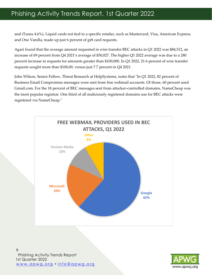## Phishing Activity Trends Report, 1st Quarter 2022

and iTunes 4.6%). Liquid cards not tied to a specific retailer, such as Mastercard, Visa, American Express, and One Vanilla, made up just 6 percent of gift card requests.

Agari found that the average amount requested in wire transfer BEC attacks in Q1 2022 was \$84,512, an increase of 69 percent from Q4 2021's average of \$50,027. The higher Q1 2022 average was due to a 280 percent increase in requests for amounts greater than \$100,000. In Q1 2022, 21.6 percent of wire transfer requests sought more than \$100,00, versus just 7.7 percent in Q4 2021.

John Wilson, Senior Fellow, Threat Research at HelpSystems, notes that "In Q1 2022, 82 percent of Business Email Compromise messages were sent from free webmail accounts. Of those, 60 percent used Gmail.com. For the 18 percent of BEC messages sent from attacker-controlled domains, NameCheap was the most popular registrar. One third of all maliciously registered domains use for BEC attacks were registered via NameCheap."



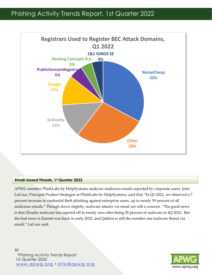

#### **Email-based Threats, 1st Quarter 2022**

APWG member PhishLabs by HelpSystems analyzes malicious emails reported by corporate users. John LaCour, Principal Product Strategist at PhishLabs by HelpSystems, said that "In Q1 2022, we observed a 7 percent increase in credential theft phishing against enterprise users, up to nearly 59 percent of all malicious emails." Though down slightly, malware attacks via email are still a concern. "The good news is that Zloader malware has tapered off to nearly zero after being 29 percent of malware in 4Q 2022. But the bad news is Emotet was back in early 2022, and Qakbot is still the number one malware threat via email," LaCour said.

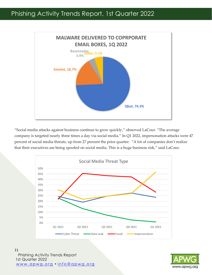

"Social media attacks against business continue to grow quickly," observed LaCour. "The average company is targeted nearly three times a day via social media." In Q1 2022, impersonation attacks were 47 percent of social media threats, up from 27 percent the prior quarter. "A lot of companies don't realize that their executives are being spoofed on social media. This is a huge business risk," said LaCour.



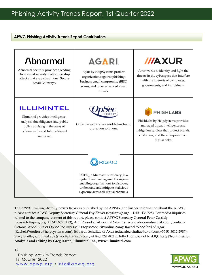#### **APWG Phishing Activity Trends Report Contributors**

| <b>Abnormal</b><br>Abnormal Security provides a leading<br>cloud email security platform to stop<br>attacks that evade traditional Secure<br>Email Gateways.                      | AGARI.<br>Agari by HelpSystems protects<br>organizations against phishing,<br>business email compromise (BEC)<br>scams, and other advanced email<br>threats.                                                    | <b>///AXUR</b><br>Axur works to identify and fight the<br>threats in the cyberspace that interfere<br>with the interests of companies,<br>governments, and individuals.                      |
|-----------------------------------------------------------------------------------------------------------------------------------------------------------------------------------|-----------------------------------------------------------------------------------------------------------------------------------------------------------------------------------------------------------------|----------------------------------------------------------------------------------------------------------------------------------------------------------------------------------------------|
| <b>ILLUMINTEL</b><br>Illumintel provides intelligence,<br>analysis, due diligence, and public<br>policy advising in the areas of<br>cybersecurity and Internet-based<br>commerce. | OpSec Security offers world-class brand<br>protection solutions.                                                                                                                                                | <b>PHISHLABS</b><br>PhishLabs by HelpSystems provides<br>managed threat intelligence and<br>mitigation services that protect brands,<br>customers, and the enterprise from<br>digital risks. |
|                                                                                                                                                                                   | <b>RISKIQ</b><br>RiskIQ, a Microsoft subsidiary, is a<br>digital threat management company<br>enabling organizations to discover,<br>understand and mitigate malicious<br>exposure across all digital channels. |                                                                                                                                                                                              |

The *APWG Phishing Activity Trends Report* is published by the APWG. For further information about the APWG, please contact APWG Deputy Secretary General Foy Shiver (foy@apwg.org, +1.404.434.728). For media inquiries related to the company-content of this report, please contact APWG Secretary General Peter Cassidy (pcassidy@apwg.org, +1.617.669.1123); Anil Prasad at Abnormal Security (www.abnormalsecurity.com/contact), Stefanie Wood Ellis of OpSec Security (sellis@opsecsecurityonline.com); Rachel Woodford of Agari (Rachel.Woodford@helpsystems.com), Eduardo Schultze of Axur (eduardo.schultze@axur.com,+55 51 3012-2987); Stacy Shelley of PhishLabs (stacy@phishlabs.com, +1.843.329.7824); Holly Hitchcock of RiskIQ (holly@frontlines.io). **Analysis and editing by Greg Aaron, Illumintel Inc., www.illumintel.com**

#### Phishing Activity Trends Report 1st Quarter 2022 www.apwg.org · info@apwg.org 12